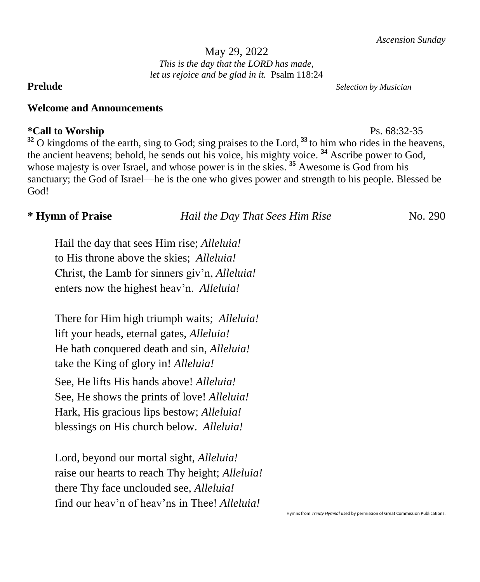### May 29, 2022 *This is the day that the LORD has made, let us rejoice and be glad in it.* Psalm 118:24

### **Welcome and Announcements**

# **\*Call to Worship** Ps. 68:32-35

<sup>32</sup> O kingdoms of the earth, sing to God; sing praises to the Lord, <sup>33</sup> to him who rides in the heavens, the ancient heavens; behold, he sends out his voice, his mighty voice. **<sup>34</sup>** Ascribe power to God, whose majesty is over Israel, and whose power is in the skies.<sup>35</sup> Awesome is God from his sanctuary; the God of Israel—he is the one who gives power and strength to his people. Blessed be God!

**\* Hymn of Praise** *Hail the Day That Sees Him Rise* No. 290

Hail the day that sees Him rise; *Alleluia!* to His throne above the skies; *Alleluia!* Christ, the Lamb for sinners giv'n, *Alleluia!* enters now the highest heav'n. *Alleluia!*

There for Him high triumph waits; *Alleluia!* lift your heads, eternal gates, *Alleluia!* He hath conquered death and sin, *Alleluia!* take the King of glory in! *Alleluia!* See, He lifts His hands above! *Alleluia!* See, He shows the prints of love! *Alleluia!* Hark, His gracious lips bestow; *Alleluia!* blessings on His church below. *Alleluia!*

Lord, beyond our mortal sight, *Alleluia!* raise our hearts to reach Thy height; *Alleluia!* there Thy face unclouded see, *Alleluia!* find our heav'n of heav'ns in Thee! *Alleluia!*

**Prelude** *Selection by Musician*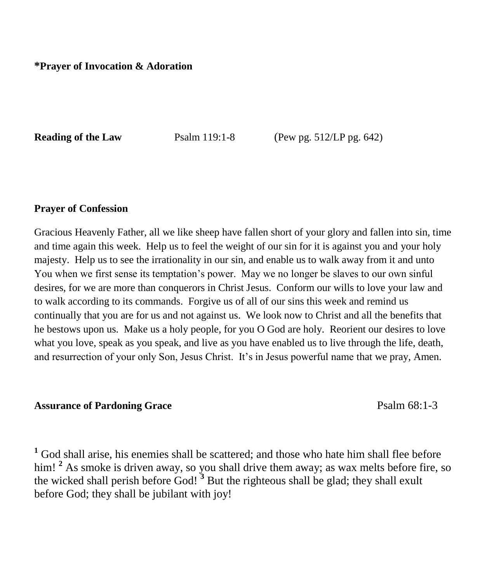**Reading of the Law Psalm 119:1-8** (Pew pg. 512/LP pg. 642)

### **Prayer of Confession**

Gracious Heavenly Father, all we like sheep have fallen short of your glory and fallen into sin, time and time again this week. Help us to feel the weight of our sin for it is against you and your holy majesty. Help us to see the irrationality in our sin, and enable us to walk away from it and unto You when we first sense its temptation's power. May we no longer be slaves to our own sinful desires, for we are more than conquerors in Christ Jesus. Conform our wills to love your law and to walk according to its commands. Forgive us of all of our sins this week and remind us continually that you are for us and not against us. We look now to Christ and all the benefits that he bestows upon us. Make us a holy people, for you O God are holy. Reorient our desires to love what you love, speak as you speak, and live as you have enabled us to live through the life, death, and resurrection of your only Son, Jesus Christ. It's in Jesus powerful name that we pray, Amen.

# **Assurance of Pardoning Grace** Psalm 68:1-3

**<sup>1</sup>** God shall arise, his enemies shall be scattered; and those who hate him shall flee before him!<sup>2</sup> As smoke is driven away, so you shall drive them away; as wax melts before fire, so the wicked shall perish before God! **<sup>3</sup>** But the righteous shall be glad; they shall exult before God; they shall be jubilant with joy!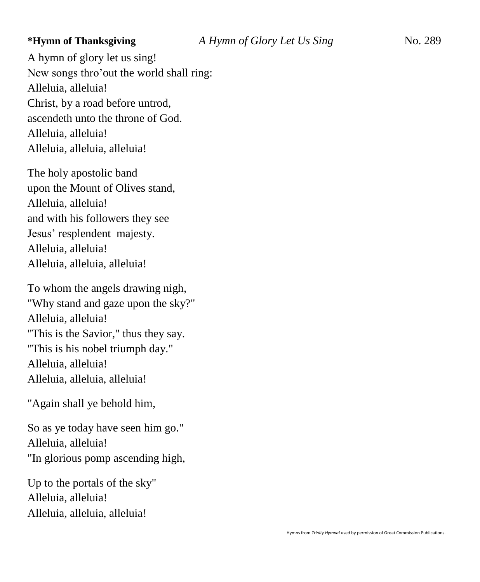A hymn of glory let us sing! New songs thro'out the world shall ring: Alleluia, alleluia! Christ, by a road before untrod, ascendeth unto the throne of God. Alleluia, alleluia! Alleluia, alleluia, alleluia!

The holy apostolic band upon the Mount of Olives stand, Alleluia, alleluia! and with his followers they see Jesus' resplendent majesty. Alleluia, alleluia! Alleluia, alleluia, alleluia!

To whom the angels drawing nigh, "Why stand and gaze upon the sky?" Alleluia, alleluia! "This is the Savior," thus they say. "This is his nobel triumph day." Alleluia, alleluia! Alleluia, alleluia, alleluia!

"Again shall ye behold him,

So as ye today have seen him go." Alleluia, alleluia! "In glorious pomp ascending high,

Up to the portals of the sky" Alleluia, alleluia! Alleluia, alleluia, alleluia!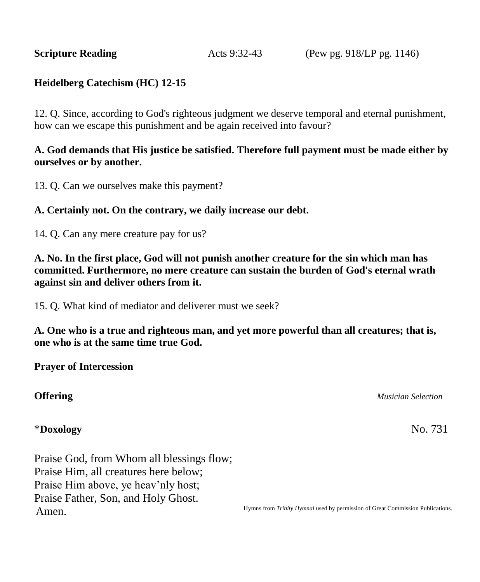**Scripture Reading Acts 9:32-43** (Pew pg. 918/LP pg. 1146)

# **Heidelberg Catechism (HC) 12-15**

12. Q. Since, according to God's righteous judgment we deserve temporal and eternal punishment, how can we escape this punishment and be again received into favour?

## **A. God demands that His justice be satisfied. Therefore full payment must be made either by ourselves or by another.**

13. Q. Can we ourselves make this payment?

#### **A. Certainly not. On the contrary, we daily increase our debt.**

14. Q. Can any mere creature pay for us?

**A. No. In the first place, God will not punish another creature for the sin which man has committed. Furthermore, no mere creature can sustain the burden of God's eternal wrath against sin and deliver others from it.**

15. Q. What kind of mediator and deliverer must we seek?

**A. One who is a true and righteous man, and yet more powerful than all creatures; that is, one who is at the same time true God.**

**Prayer of Intercession**

#### **Offering** *Musician Selection*

#### \***Doxology** No. 731

Praise God, from Whom all blessings flow; Praise Him, all creatures here below; Praise Him above, ye heav'nly host; Praise Father, Son, and Holy Ghost. Amen.

Hymns from *Trinity Hymnal* used by permission of Great Commission Publications.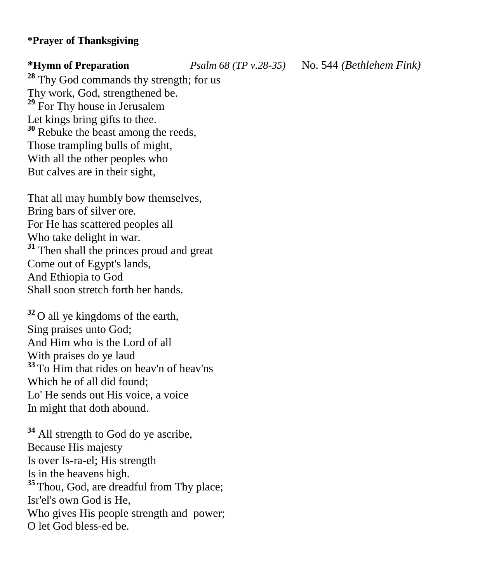# **\*Prayer of Thanksgiving**

**\*Hymn of Preparation** *Psalm 68 (TP v.28-35)* No. 544 *(Bethlehem Fink)*

**<sup>28</sup>** Thy God commands thy strength; for us Thy work, God, strengthened be. **<sup>29</sup>** For Thy house in Jerusalem Let kings bring gifts to thee. **<sup>30</sup>** Rebuke the beast among the reeds, Those trampling bulls of might, With all the other peoples who But calves are in their sight,

That all may humbly bow themselves, Bring bars of silver ore. For He has scattered peoples all Who take delight in war. <sup>31</sup> Then shall the princes proud and great Come out of Egypt's lands, And Ethiopia to God Shall soon stretch forth her hands.

**<sup>32</sup>**O all ye kingdoms of the earth, Sing praises unto God; And Him who is the Lord of all With praises do ye laud **<sup>33</sup>**To Him that rides on heav'n of heav'ns Which he of all did found; Lo' He sends out His voice, a voice In might that doth abound.

**<sup>34</sup>** All strength to God do ye ascribe, Because His majesty Is over Is-ra-el; His strength Is in the heavens high. <sup>35</sup> Thou, God, are dreadful from Thy place; Isr'el's own God is He, Who gives His people strength and power; O let God bless-ed be.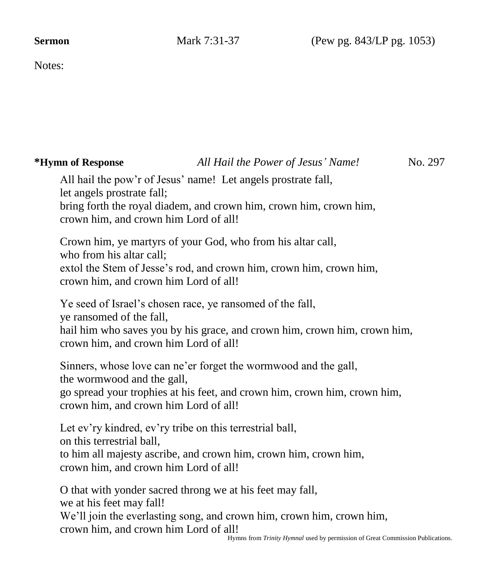Notes:

# **\*Hymn of Response** *All Hail the Power of Jesus' Name!* No. 297

All hail the pow'r of Jesus' name! Let angels prostrate fall, let angels prostrate fall; bring forth the royal diadem, and crown him, crown him, crown him, crown him, and crown him Lord of all!

Crown him, ye martyrs of your God, who from his altar call, who from his altar call; extol the Stem of Jesse's rod, and crown him, crown him, crown him, crown him, and crown him Lord of all!

Ye seed of Israel's chosen race, ye ransomed of the fall,

ye ransomed of the fall,

hail him who saves you by his grace, and crown him, crown him, crown him, crown him, and crown him Lord of all!

Sinners, whose love can ne'er forget the wormwood and the gall, the wormwood and the gall,

go spread your trophies at his feet, and crown him, crown him, crown him, crown him, and crown him Lord of all!

Let ev'ry kindred, ev'ry tribe on this terrestrial ball, on this terrestrial ball, to him all majesty ascribe, and crown him, crown him, crown him, crown him, and crown him Lord of all!

O that with yonder sacred throng we at his feet may fall, we at his feet may fall! We'll join the everlasting song, and crown him, crown him, crown him, crown him, and crown him Lord of all!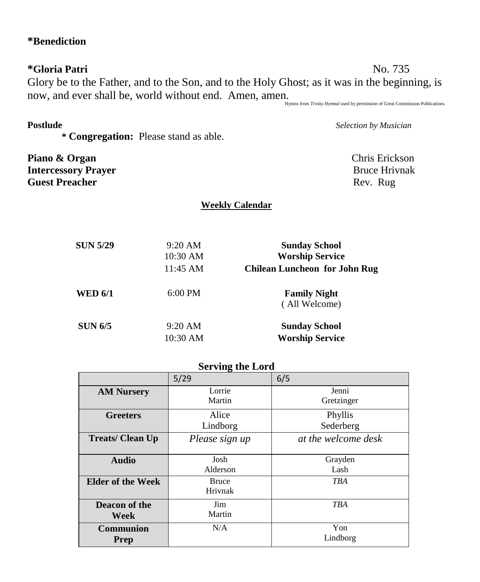# **\*Benediction**

**\*Gloria Patri** No. 735 Glory be to the Father, and to the Son, and to the Holy Ghost; as it was in the beginning, is now, and ever shall be, world without end. Amen, amen.<br>Hymns from *Trinity Hymnal* used by permission of Great Commission Publications.

**\* Congregation:** Please stand as able.

Piano & Organ **Chris Erickson Intercessory Prayer Bruce Hrivnak Guest Preacher** Rev. Rug

**Postlude** *Selection by Musician*

# **Weekly Calendar**

| <b>SUN 5/29</b> | $9:20$ AM | <b>Sunday School</b>                 |
|-----------------|-----------|--------------------------------------|
|                 | 10:30 AM  | <b>Worship Service</b>               |
|                 | 11:45 AM  | <b>Chilean Luncheon for John Rug</b> |
| <b>WED 6/1</b>  | $6:00$ PM | <b>Family Night</b>                  |
|                 |           | (All Welcome)                        |
| <b>SUN 6/5</b>  | $9:20$ AM | <b>Sunday School</b>                 |
|                 | 10:30 AM  | <b>Worship Service</b>               |

# **Serving the Lord**

|                                 | 5/29                    | 6/5                  |
|---------------------------------|-------------------------|----------------------|
| <b>AM Nursery</b>               | Lorrie<br>Martin        | Jenni<br>Gretzinger  |
| <b>Greeters</b>                 | Alice<br>Lindborg       | Phyllis<br>Sederberg |
| <b>Treats/Clean Up</b>          | Please sign up          | at the welcome desk  |
| <b>Audio</b>                    | Josh<br>Alderson        | Grayden<br>Lash      |
| <b>Elder of the Week</b>        | <b>Bruce</b><br>Hrivnak | <b>TBA</b>           |
| Deacon of the<br>Week           | Jim<br>Martin           | <b>TBA</b>           |
| <b>Communion</b><br><b>Prep</b> | N/A                     | Yon<br>Lindborg      |